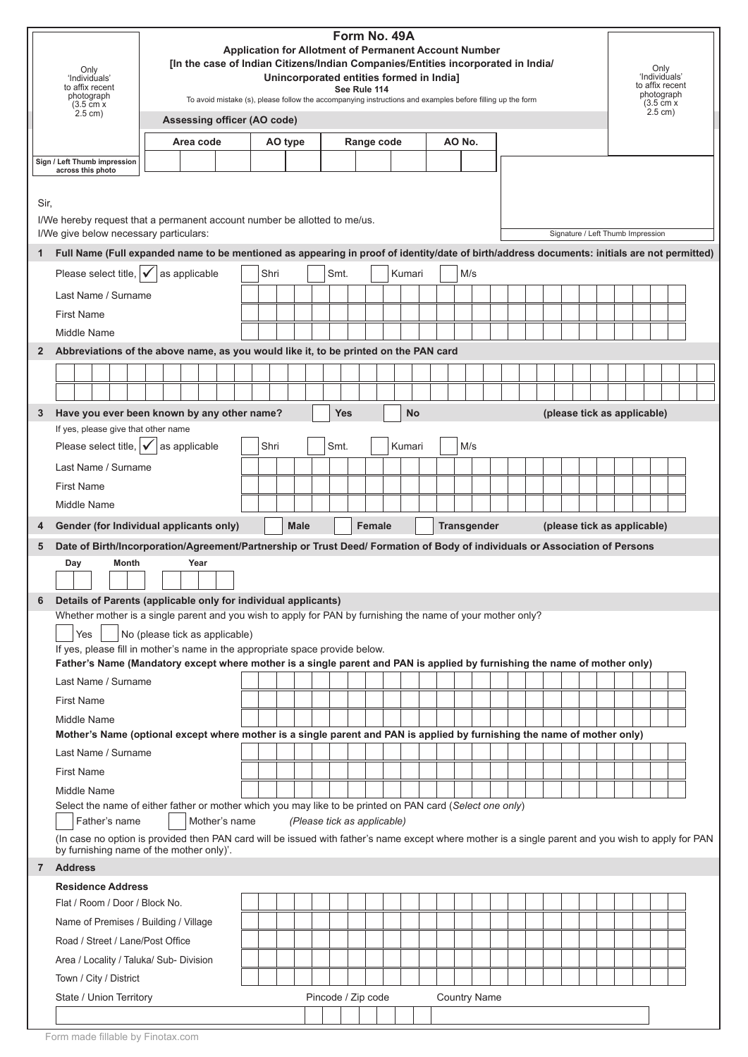|                     | Only<br>'Individuals'<br>to affix recent<br>photograph<br>$(3.5 \text{ cm} x)$<br>$2.5$ cm)                                                                                                                                                                         |                                | Form No. 49A<br><b>Application for Allotment of Permanent Account Number</b><br>[In the case of Indian Citizens/Indian Companies/Entities incorporated in India/<br>Unincorporated entities formed in India]<br>See Rule 114<br>To avoid mistake (s), please follow the accompanying instructions and examples before filling up the form<br>Assessing officer (AO code) |               |  |  |      |         |                             |  |                    |  |               |            |           |  |  | Only<br>'Individuals'<br>to affix recent<br>photograph<br>$(3.5 \text{ cm})$ x<br>$2.5 \text{ cm}$ ) |                     |  |  |  |  |                                   |  |  |  |  |
|---------------------|---------------------------------------------------------------------------------------------------------------------------------------------------------------------------------------------------------------------------------------------------------------------|--------------------------------|--------------------------------------------------------------------------------------------------------------------------------------------------------------------------------------------------------------------------------------------------------------------------------------------------------------------------------------------------------------------------|---------------|--|--|------|---------|-----------------------------|--|--------------------|--|---------------|------------|-----------|--|--|------------------------------------------------------------------------------------------------------|---------------------|--|--|--|--|-----------------------------------|--|--|--|--|
|                     |                                                                                                                                                                                                                                                                     |                                |                                                                                                                                                                                                                                                                                                                                                                          |               |  |  |      |         |                             |  |                    |  |               |            |           |  |  |                                                                                                      |                     |  |  |  |  |                                   |  |  |  |  |
|                     |                                                                                                                                                                                                                                                                     |                                |                                                                                                                                                                                                                                                                                                                                                                          | Area code     |  |  |      | AO type |                             |  |                    |  |               | Range code |           |  |  | AO No.                                                                                               |                     |  |  |  |  |                                   |  |  |  |  |
|                     | Sign / Left Thumb impression<br>across this photo                                                                                                                                                                                                                   |                                |                                                                                                                                                                                                                                                                                                                                                                          |               |  |  |      |         |                             |  |                    |  |               |            |           |  |  |                                                                                                      |                     |  |  |  |  |                                   |  |  |  |  |
| Sir,<br>$\mathbf 1$ | I/We hereby request that a permanent account number be allotted to me/us.<br>I/We give below necessary particulars:<br>Full Name (Full expanded name to be mentioned as appearing in proof of identity/date of birth/address documents: initials are not permitted) |                                |                                                                                                                                                                                                                                                                                                                                                                          |               |  |  |      |         |                             |  |                    |  |               |            |           |  |  |                                                                                                      |                     |  |  |  |  | Signature / Left Thumb Impression |  |  |  |  |
|                     | Please select title, $\mathbf{v}$                                                                                                                                                                                                                                   |                                |                                                                                                                                                                                                                                                                                                                                                                          | as applicable |  |  | Shri |         |                             |  | Smt.               |  |               |            | Kumari    |  |  | M/s                                                                                                  |                     |  |  |  |  |                                   |  |  |  |  |
|                     | Last Name / Surname                                                                                                                                                                                                                                                 |                                |                                                                                                                                                                                                                                                                                                                                                                          |               |  |  |      |         |                             |  |                    |  |               |            |           |  |  |                                                                                                      |                     |  |  |  |  |                                   |  |  |  |  |
|                     | <b>First Name</b>                                                                                                                                                                                                                                                   |                                |                                                                                                                                                                                                                                                                                                                                                                          |               |  |  |      |         |                             |  |                    |  |               |            |           |  |  |                                                                                                      |                     |  |  |  |  |                                   |  |  |  |  |
|                     | Middle Name                                                                                                                                                                                                                                                         |                                |                                                                                                                                                                                                                                                                                                                                                                          |               |  |  |      |         |                             |  |                    |  |               |            |           |  |  |                                                                                                      |                     |  |  |  |  |                                   |  |  |  |  |
| $\overline{2}$      | Abbreviations of the above name, as you would like it, to be printed on the PAN card                                                                                                                                                                                |                                |                                                                                                                                                                                                                                                                                                                                                                          |               |  |  |      |         |                             |  |                    |  |               |            |           |  |  |                                                                                                      |                     |  |  |  |  |                                   |  |  |  |  |
|                     |                                                                                                                                                                                                                                                                     |                                |                                                                                                                                                                                                                                                                                                                                                                          |               |  |  |      |         |                             |  |                    |  |               |            |           |  |  |                                                                                                      |                     |  |  |  |  |                                   |  |  |  |  |
|                     |                                                                                                                                                                                                                                                                     |                                |                                                                                                                                                                                                                                                                                                                                                                          |               |  |  |      |         |                             |  |                    |  |               |            |           |  |  |                                                                                                      |                     |  |  |  |  |                                   |  |  |  |  |
| 3                   | Have you ever been known by any other name?                                                                                                                                                                                                                         |                                |                                                                                                                                                                                                                                                                                                                                                                          |               |  |  |      |         |                             |  | <b>Yes</b>         |  |               |            | <b>No</b> |  |  |                                                                                                      |                     |  |  |  |  | (please tick as applicable)       |  |  |  |  |
|                     | If yes, please give that other name<br>Please select title, $\mathbf{\sqrt{}}$                                                                                                                                                                                      |                                |                                                                                                                                                                                                                                                                                                                                                                          | as applicable |  |  | Shri |         |                             |  | Smt.               |  |               |            | Kumari    |  |  | M/s                                                                                                  |                     |  |  |  |  |                                   |  |  |  |  |
|                     | Last Name / Surname                                                                                                                                                                                                                                                 |                                |                                                                                                                                                                                                                                                                                                                                                                          |               |  |  |      |         |                             |  |                    |  |               |            |           |  |  |                                                                                                      |                     |  |  |  |  |                                   |  |  |  |  |
|                     | <b>First Name</b>                                                                                                                                                                                                                                                   |                                |                                                                                                                                                                                                                                                                                                                                                                          |               |  |  |      |         |                             |  |                    |  |               |            |           |  |  |                                                                                                      |                     |  |  |  |  |                                   |  |  |  |  |
|                     | Middle Name                                                                                                                                                                                                                                                         |                                |                                                                                                                                                                                                                                                                                                                                                                          |               |  |  |      |         |                             |  |                    |  |               |            |           |  |  |                                                                                                      |                     |  |  |  |  |                                   |  |  |  |  |
|                     |                                                                                                                                                                                                                                                                     |                                |                                                                                                                                                                                                                                                                                                                                                                          |               |  |  |      |         |                             |  |                    |  |               |            |           |  |  |                                                                                                      |                     |  |  |  |  |                                   |  |  |  |  |
| 4                   | Gender (for Individual applicants only)                                                                                                                                                                                                                             |                                |                                                                                                                                                                                                                                                                                                                                                                          |               |  |  |      |         | <b>Male</b>                 |  |                    |  | <b>Female</b> |            |           |  |  |                                                                                                      | <b>Transgender</b>  |  |  |  |  | (please tick as applicable)       |  |  |  |  |
| 5                   | Date of Birth/Incorporation/Agreement/Partnership or Trust Deed/ Formation of Body of individuals or Association of Persons                                                                                                                                         |                                |                                                                                                                                                                                                                                                                                                                                                                          |               |  |  |      |         |                             |  |                    |  |               |            |           |  |  |                                                                                                      |                     |  |  |  |  |                                   |  |  |  |  |
|                     | Day                                                                                                                                                                                                                                                                 | <b>Month</b>                   |                                                                                                                                                                                                                                                                                                                                                                          | Year          |  |  |      |         |                             |  |                    |  |               |            |           |  |  |                                                                                                      |                     |  |  |  |  |                                   |  |  |  |  |
| 6                   | Details of Parents (applicable only for individual applicants)                                                                                                                                                                                                      |                                |                                                                                                                                                                                                                                                                                                                                                                          |               |  |  |      |         |                             |  |                    |  |               |            |           |  |  |                                                                                                      |                     |  |  |  |  |                                   |  |  |  |  |
|                     | Whether mother is a single parent and you wish to apply for PAN by furnishing the name of your mother only?                                                                                                                                                         |                                |                                                                                                                                                                                                                                                                                                                                                                          |               |  |  |      |         |                             |  |                    |  |               |            |           |  |  |                                                                                                      |                     |  |  |  |  |                                   |  |  |  |  |
|                     | Yes                                                                                                                                                                                                                                                                 | No (please tick as applicable) |                                                                                                                                                                                                                                                                                                                                                                          |               |  |  |      |         |                             |  |                    |  |               |            |           |  |  |                                                                                                      |                     |  |  |  |  |                                   |  |  |  |  |
|                     | If yes, please fill in mother's name in the appropriate space provide below.<br>Father's Name (Mandatory except where mother is a single parent and PAN is applied by furnishing the name of mother only)                                                           |                                |                                                                                                                                                                                                                                                                                                                                                                          |               |  |  |      |         |                             |  |                    |  |               |            |           |  |  |                                                                                                      |                     |  |  |  |  |                                   |  |  |  |  |
|                     | Last Name / Surname                                                                                                                                                                                                                                                 |                                |                                                                                                                                                                                                                                                                                                                                                                          |               |  |  |      |         |                             |  |                    |  |               |            |           |  |  |                                                                                                      |                     |  |  |  |  |                                   |  |  |  |  |
|                     | <b>First Name</b>                                                                                                                                                                                                                                                   |                                |                                                                                                                                                                                                                                                                                                                                                                          |               |  |  |      |         |                             |  |                    |  |               |            |           |  |  |                                                                                                      |                     |  |  |  |  |                                   |  |  |  |  |
|                     | Middle Name                                                                                                                                                                                                                                                         |                                |                                                                                                                                                                                                                                                                                                                                                                          |               |  |  |      |         |                             |  |                    |  |               |            |           |  |  |                                                                                                      |                     |  |  |  |  |                                   |  |  |  |  |
|                     | Mother's Name (optional except where mother is a single parent and PAN is applied by furnishing the name of mother only)                                                                                                                                            |                                |                                                                                                                                                                                                                                                                                                                                                                          |               |  |  |      |         |                             |  |                    |  |               |            |           |  |  |                                                                                                      |                     |  |  |  |  |                                   |  |  |  |  |
|                     | Last Name / Surname                                                                                                                                                                                                                                                 |                                |                                                                                                                                                                                                                                                                                                                                                                          |               |  |  |      |         |                             |  |                    |  |               |            |           |  |  |                                                                                                      |                     |  |  |  |  |                                   |  |  |  |  |
|                     | <b>First Name</b>                                                                                                                                                                                                                                                   |                                |                                                                                                                                                                                                                                                                                                                                                                          |               |  |  |      |         |                             |  |                    |  |               |            |           |  |  |                                                                                                      |                     |  |  |  |  |                                   |  |  |  |  |
|                     | Middle Name                                                                                                                                                                                                                                                         |                                |                                                                                                                                                                                                                                                                                                                                                                          |               |  |  |      |         |                             |  |                    |  |               |            |           |  |  |                                                                                                      |                     |  |  |  |  |                                   |  |  |  |  |
|                     | Select the name of either father or mother which you may like to be printed on PAN card (Select one only)<br>Father's name                                                                                                                                          |                                |                                                                                                                                                                                                                                                                                                                                                                          | Mother's name |  |  |      |         | (Please tick as applicable) |  |                    |  |               |            |           |  |  |                                                                                                      |                     |  |  |  |  |                                   |  |  |  |  |
|                     | (In case no option is provided then PAN card will be issued with father's name except where mother is a single parent and you wish to apply for PAN                                                                                                                 |                                |                                                                                                                                                                                                                                                                                                                                                                          |               |  |  |      |         |                             |  |                    |  |               |            |           |  |  |                                                                                                      |                     |  |  |  |  |                                   |  |  |  |  |
|                     | by furnishing name of the mother only)'.<br>7 Address                                                                                                                                                                                                               |                                |                                                                                                                                                                                                                                                                                                                                                                          |               |  |  |      |         |                             |  |                    |  |               |            |           |  |  |                                                                                                      |                     |  |  |  |  |                                   |  |  |  |  |
|                     | <b>Residence Address</b>                                                                                                                                                                                                                                            |                                |                                                                                                                                                                                                                                                                                                                                                                          |               |  |  |      |         |                             |  |                    |  |               |            |           |  |  |                                                                                                      |                     |  |  |  |  |                                   |  |  |  |  |
|                     | Flat / Room / Door / Block No.                                                                                                                                                                                                                                      |                                |                                                                                                                                                                                                                                                                                                                                                                          |               |  |  |      |         |                             |  |                    |  |               |            |           |  |  |                                                                                                      |                     |  |  |  |  |                                   |  |  |  |  |
|                     | Name of Premises / Building / Village                                                                                                                                                                                                                               |                                |                                                                                                                                                                                                                                                                                                                                                                          |               |  |  |      |         |                             |  |                    |  |               |            |           |  |  |                                                                                                      |                     |  |  |  |  |                                   |  |  |  |  |
|                     | Road / Street / Lane/Post Office                                                                                                                                                                                                                                    |                                |                                                                                                                                                                                                                                                                                                                                                                          |               |  |  |      |         |                             |  |                    |  |               |            |           |  |  |                                                                                                      |                     |  |  |  |  |                                   |  |  |  |  |
|                     | Area / Locality / Taluka/ Sub- Division                                                                                                                                                                                                                             |                                |                                                                                                                                                                                                                                                                                                                                                                          |               |  |  |      |         |                             |  |                    |  |               |            |           |  |  |                                                                                                      |                     |  |  |  |  |                                   |  |  |  |  |
|                     | Town / City / District                                                                                                                                                                                                                                              |                                |                                                                                                                                                                                                                                                                                                                                                                          |               |  |  |      |         |                             |  |                    |  |               |            |           |  |  |                                                                                                      |                     |  |  |  |  |                                   |  |  |  |  |
|                     | State / Union Territory                                                                                                                                                                                                                                             |                                |                                                                                                                                                                                                                                                                                                                                                                          |               |  |  |      |         |                             |  | Pincode / Zip code |  |               |            |           |  |  |                                                                                                      | <b>Country Name</b> |  |  |  |  |                                   |  |  |  |  |